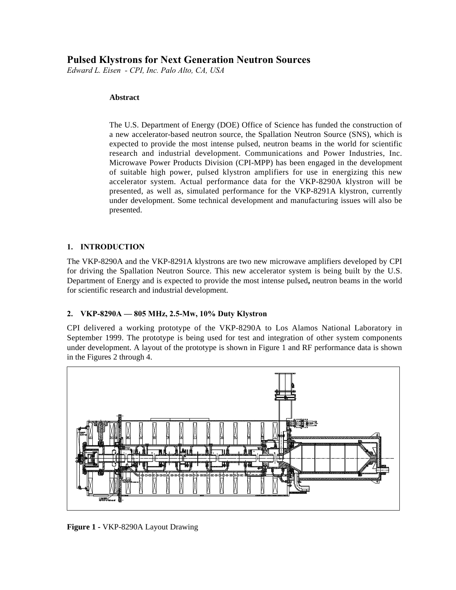# **Pulsed Klystrons for Next Generation Neutron Sources**

*Edward L. Eisen - CPI, Inc. Palo Alto, CA, USA*

#### **Abstract**

The U.S. Department of Energy (DOE) Office of Science has funded the construction of a new accelerator-based neutron source, the Spallation Neutron Source (SNS), which is expected to provide the most intense pulsed, neutron beams in the world for scientific research and industrial development. Communications and Power Industries, Inc. Microwave Power Products Division (CPI-MPP) has been engaged in the development of suitable high power, pulsed klystron amplifiers for use in energizing this new accelerator system. Actual performance data for the VKP-8290A klystron will be presented, as well as, simulated performance for the VKP-8291A klystron, currently under development. Some technical development and manufacturing issues will also be presented.

# **1. INTRODUCTION**

The VKP-8290A and the VKP-8291A klystrons are two new microwave amplifiers developed by CPI for driving the Spallation Neutron Source. This new accelerator system is being built by the U.S. Department of Energy and is expected to provide the most intense pulsed**,** neutron beams in the world for scientific research and industrial development.

# **2. VKP-8290A — 805 MHz, 2.5-Mw, 10% Duty Klystron**

CPI delivered a working prototype of the VKP-8290A to Los Alamos National Laboratory in September 1999. The prototype is being used for test and integration of other system components under development. A layout of the prototype is shown in Figure 1 and RF performance data is shown in the Figures 2 through 4.



**Figure 1 -** VKP-8290A Layout Drawing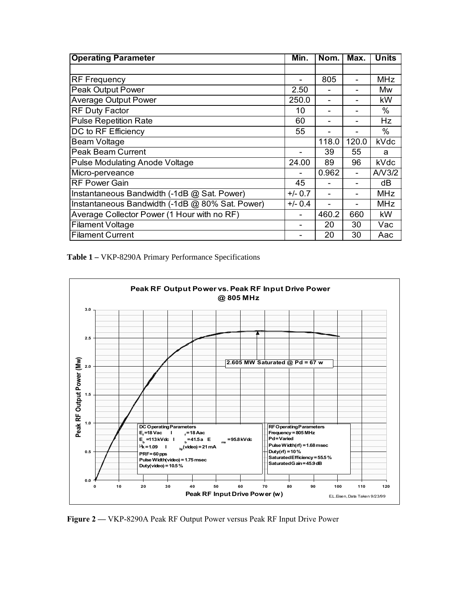| <b>Operating Parameter</b>                      | Min.      | Nom.  | Max.  | <b>Units</b> |
|-------------------------------------------------|-----------|-------|-------|--------------|
|                                                 |           |       |       |              |
| <b>RF Frequency</b>                             |           | 805   |       | <b>MHz</b>   |
| Peak Output Power                               | 2.50      |       |       | Mw           |
| <b>Average Output Power</b>                     | 250.0     | -     |       | kW           |
| <b>RF Duty Factor</b>                           | 10        |       |       | $\%$         |
| <b>Pulse Repetition Rate</b>                    | 60        |       |       | Hz           |
| DC to RF Efficiency                             | 55        |       |       | %            |
| <b>Beam Voltage</b>                             |           | 118.0 | 120.0 | kVdc         |
| <b>Peak Beam Current</b>                        |           | 39    | 55    | a            |
| <b>Pulse Modulating Anode Voltage</b>           | 24.00     | 89    | 96    | kVdc         |
| Micro-perveance                                 |           | 0.962 | ۰     | A/V3/2       |
| <b>RF Power Gain</b>                            | 45        |       |       | dB           |
| Instantaneous Bandwidth (-1dB @ Sat. Power)     | $+/- 0.7$ |       |       | <b>MHz</b>   |
| Instantaneous Bandwidth (-1dB @ 80% Sat. Power) | $+/- 0.4$ |       |       | <b>MHz</b>   |
| Average Collector Power (1 Hour with no RF)     |           | 460.2 | 660   | kW           |
| <b>Filament Voltage</b>                         |           | 20    | 30    | Vac          |
| <b>Filament Current</b>                         |           | 20    | 30    | Aac          |

**Table 1 –** VKP-8290A Primary Performance Specifications



**Figure 2 —** VKP-8290A Peak RF Output Power versus Peak RF Input Drive Power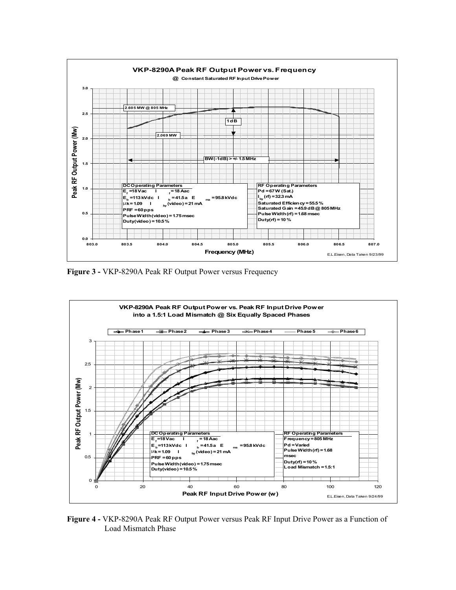

**Figure 3 -** VKP-8290A Peak RF Output Power versus Frequency



**Figure 4 -** VKP-8290A Peak RF Output Power versus Peak RF Input Drive Power as a Function of Load Mismatch Phase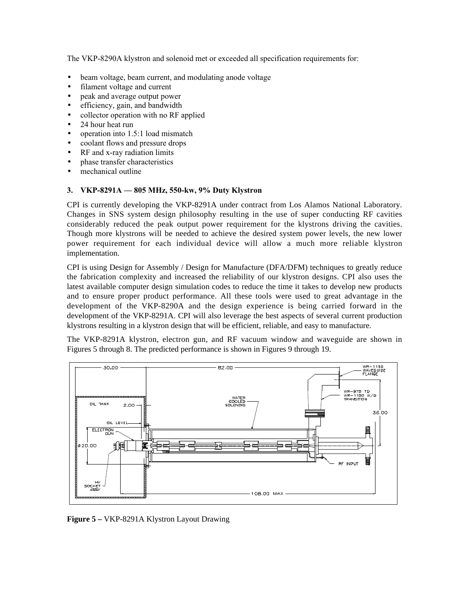The VKP-8290A klystron and solenoid met or exceeded all specification requirements for:

- beam voltage, beam current, and modulating anode voltage
- filament voltage and current
- peak and average output power
- efficiency, gain, and bandwidth
- collector operation with no RF applied
- 24 hour heat run
- operation into 1.5:1 load mismatch
- coolant flows and pressure drops
- RF and x-ray radiation limits
- phase transfer characteristics
- mechanical outline

# **3. VKP-8291A — 805 MHz, 550-kw, 9% Duty Klystron**

CPI is currently developing the VKP-8291A under contract from Los Alamos National Laboratory. Changes in SNS system design philosophy resulting in the use of super conducting RF cavities considerably reduced the peak output power requirement for the klystrons driving the cavities. Though more klystrons will be needed to achieve the desired system power levels, the new lower power requirement for each individual device will allow a much more reliable klystron implementation.

CPI is using Design for Assembly / Design for Manufacture (DFA/DFM) techniques to greatly reduce the fabrication complexity and increased the reliability of our klystron designs. CPI also uses the latest available computer design simulation codes to reduce the time it takes to develop new products and to ensure proper product performance. All these tools were used to great advantage in the development of the VKP-8290A and the design experience is being carried forward in the development of the VKP-8291A. CPI will also leverage the best aspects of several current production klystrons resulting in a klystron design that will be efficient, reliable, and easy to manufacture.

The VKP-8291A klystron, electron gun, and RF vacuum window and waveguide are shown in Figures 5 through 8. The predicted performance is shown in Figures 9 through 19.



**Figure 5 –** VKP-8291A Klystron Layout Drawing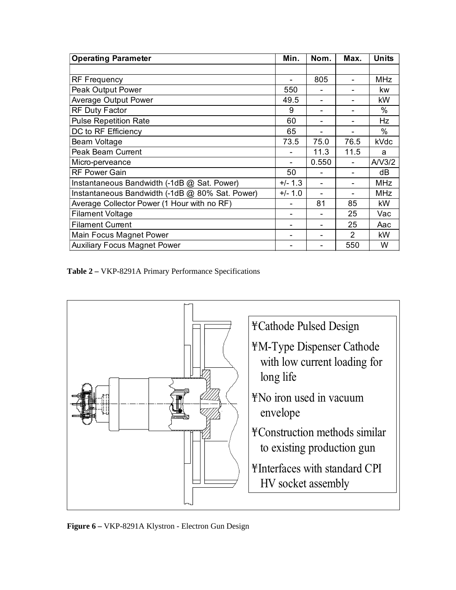| <b>Operating Parameter</b>                      | Min.      | Nom.  | Max.           | <b>Units</b> |
|-------------------------------------------------|-----------|-------|----------------|--------------|
|                                                 |           |       |                |              |
| <b>RF Frequency</b>                             |           | 805   |                | <b>MHz</b>   |
| Peak Output Power                               | 550       |       |                | kw           |
| <b>Average Output Power</b>                     | 49.5      |       |                | kW           |
| <b>RF Duty Factor</b>                           | 9         |       |                | %            |
| <b>Pulse Repetition Rate</b>                    | 60        |       |                | Hz           |
| DC to RF Efficiency                             | 65        |       |                | $\%$         |
| Beam Voltage                                    | 73.5      | 75.0  | 76.5           | kVdc         |
| <b>Peak Beam Current</b>                        |           | 11.3  | 11.5           | a            |
| Micro-perveance                                 |           | 0.550 |                | A/V3/2       |
| <b>RF Power Gain</b>                            | 50        |       |                | dB           |
| Instantaneous Bandwidth (-1dB @ Sat. Power)     | $+/- 1.3$ |       |                | <b>MHz</b>   |
| Instantaneous Bandwidth (-1dB @ 80% Sat. Power) | $+/- 1.0$ |       |                | <b>MHz</b>   |
| Average Collector Power (1 Hour with no RF)     |           | 81    | 85             | kW           |
| <b>Filament Voltage</b>                         |           |       | 25             | Vac          |
| <b>Filament Current</b>                         |           |       | 25             | Aac          |
| Main Focus Magnet Power                         |           |       | $\mathfrak{p}$ | kW           |
| <b>Auxiliary Focus Magnet Power</b>             |           |       | 550            | W            |

**Table 2 –** VKP-8291A Primary Performance Specifications



**Figure 6 –** VKP-8291A Klystron - Electron Gun Design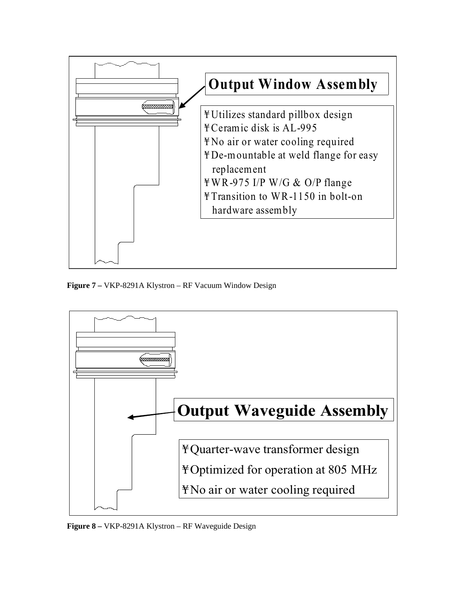

**Figure 7 –** VKP-8291A Klystron – RF Vacuum Window Design



**Figure 8 –** VKP-8291A Klystron – RF Waveguide Design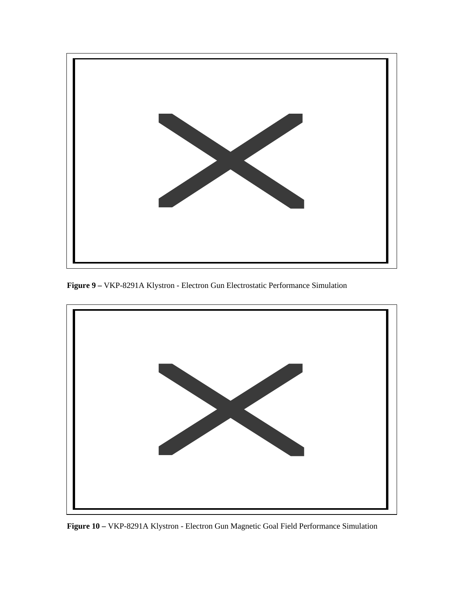

**Figure 9 –** VKP-8291A Klystron - Electron Gun Electrostatic Performance Simulation



**Figure 10 –** VKP-8291A Klystron - Electron Gun Magnetic Goal Field Performance Simulation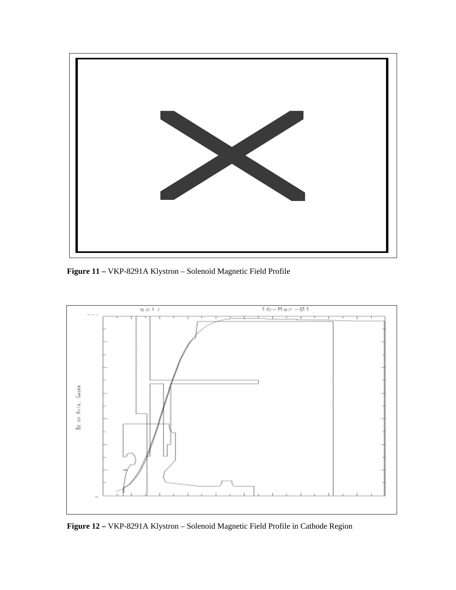

**Figure 11 –** VKP-8291A Klystron – Solenoid Magnetic Field Profile



**Figure 12 –** VKP-8291A Klystron – Solenoid Magnetic Field Profile in Cathode Region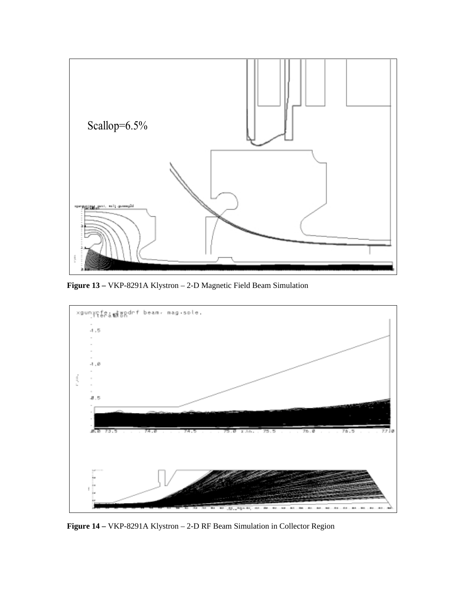

**Figure 13 –** VKP-8291A Klystron – 2-D Magnetic Field Beam Simulation



**Figure 14 –** VKP-8291A Klystron – 2-D RF Beam Simulation in Collector Region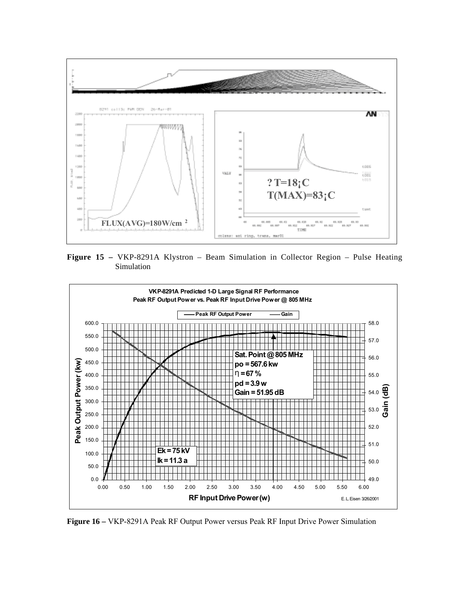

**Figure 15 –** VKP-8291A Klystron – Beam Simulation in Collector Region – Pulse Heating Simulation



**Figure 16 –** VKP-8291A Peak RF Output Power versus Peak RF Input Drive Power Simulation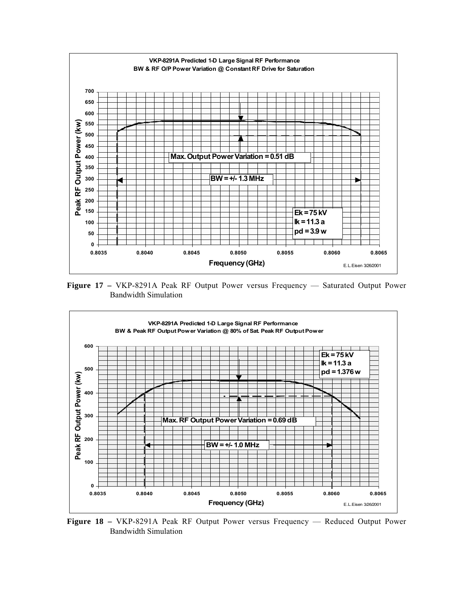

**Figure 17 –** VKP-8291A Peak RF Output Power versus Frequency — Saturated Output Power Bandwidth Simulation



**Figure 18 –** VKP-8291A Peak RF Output Power versus Frequency — Reduced Output Power Bandwidth Simulation